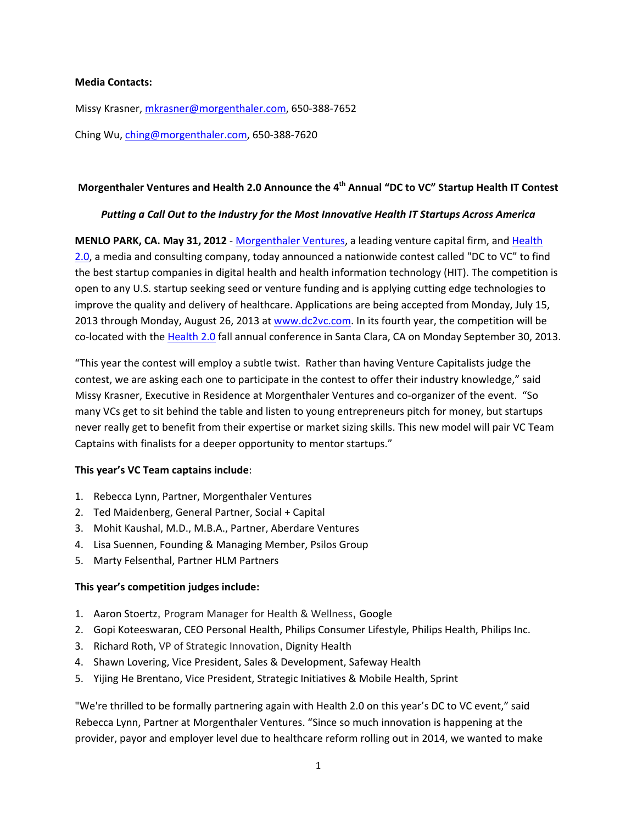#### **Media Contacts:**

Missy Krasner, mkrasner@morgenthaler.com, 650‐388‐7652

Ching Wu, ching@morgenthaler.com, 650‐388‐7620

# **Morgenthaler Ventures and Health 2.0 Announce the 4th Annual "DC to VC" Startup Health IT Contest**

### *Putting a Call Out to the Industry for the Most Innovative Health IT Startups Across America*

**MENLO PARK, CA. May 31, 2012** ‐ Morgenthaler Ventures, a leading venture capital firm, and Health 2.0, a media and consulting company, today announced a nationwide contest called "DC to VC" to find the best startup companies in digital health and health information technology (HIT). The competition is open to any U.S. startup seeking seed or venture funding and is applying cutting edge technologies to improve the quality and delivery of healthcare. Applications are being accepted from Monday, July 15, 2013 through Monday, August 26, 2013 at www.dc2vc.com. In its fourth year, the competition will be co-located with the Health 2.0 fall annual conference in Santa Clara, CA on Monday September 30, 2013.

"This year the contest will employ a subtle twist. Rather than having Venture Capitalists judge the contest, we are asking each one to participate in the contest to offer their industry knowledge," said Missy Krasner, Executive in Residence at Morgenthaler Ventures and co-organizer of the event. "So many VCs get to sit behind the table and listen to young entrepreneurs pitch for money, but startups never really get to benefit from their expertise or market sizing skills. This new model will pair VC Team Captains with finalists for a deeper opportunity to mentor startups."

## **This year's VC Team captains include**:

- 1. Rebecca Lynn, Partner, Morgenthaler Ventures
- 2. Ted Maidenberg, General Partner, Social + Capital
- 3. Mohit Kaushal, M.D., M.B.A., Partner, Aberdare Ventures
- 4. Lisa Suennen, Founding & Managing Member, Psilos Group
- 5. Marty Felsenthal, Partner HLM Partners

## **This year's competition judges include:**

- 1. Aaron Stoertz, Program Manager for Health & Wellness, Google
- 2. Gopi Koteeswaran, CEO Personal Health, Philips Consumer Lifestyle, Philips Health, Philips Inc.
- 3. Richard Roth, VP of Strategic Innovation, Dignity Health
- 4. Shawn Lovering, Vice President, Sales & Development, Safeway Health
- 5. Yijing He Brentano, Vice President, Strategic Initiatives & Mobile Health, Sprint

"We're thrilled to be formally partnering again with Health 2.0 on this year's DC to VC event," said Rebecca Lynn, Partner at Morgenthaler Ventures. "Since so much innovation is happening at the provider, payor and employer level due to healthcare reform rolling out in 2014, we wanted to make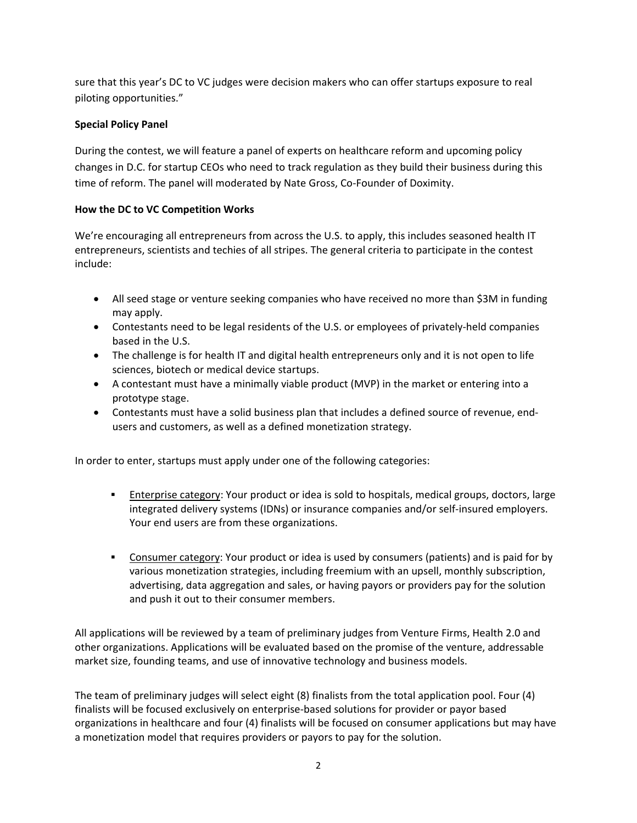sure that this year's DC to VC judges were decision makers who can offer startups exposure to real piloting opportunities."

# **Special Policy Panel**

During the contest, we will feature a panel of experts on healthcare reform and upcoming policy changes in D.C. for startup CEOs who need to track regulation as they build their business during this time of reform. The panel will moderated by Nate Gross, Co‐Founder of Doximity.

## **How the DC to VC Competition Works**

We're encouraging all entrepreneurs from across the U.S. to apply, this includes seasoned health IT entrepreneurs, scientists and techies of all stripes. The general criteria to participate in the contest include:

- All seed stage or venture seeking companies who have received no more than \$3M in funding may apply.
- Contestants need to be legal residents of the U.S. or employees of privately‐held companies based in the U.S.
- The challenge is for health IT and digital health entrepreneurs only and it is not open to life sciences, biotech or medical device startups.
- A contestant must have a minimally viable product (MVP) in the market or entering into a prototype stage.
- Contestants must have a solid business plan that includes a defined source of revenue, endusers and customers, as well as a defined monetization strategy.

In order to enter, startups must apply under one of the following categories:

- **Enterprise category:** Your product or idea is sold to hospitals, medical groups, doctors, large integrated delivery systems (IDNs) or insurance companies and/or self‐insured employers. Your end users are from these organizations.
- **Consumer category:** Your product or idea is used by consumers (patients) and is paid for by various monetization strategies, including freemium with an upsell, monthly subscription, advertising, data aggregation and sales, or having payors or providers pay for the solution and push it out to their consumer members.

All applications will be reviewed by a team of preliminary judges from Venture Firms, Health 2.0 and other organizations. Applications will be evaluated based on the promise of the venture, addressable market size, founding teams, and use of innovative technology and business models.

The team of preliminary judges will select eight (8) finalists from the total application pool. Four (4) finalists will be focused exclusively on enterprise‐based solutions for provider or payor based organizations in healthcare and four (4) finalists will be focused on consumer applications but may have a monetization model that requires providers or payors to pay for the solution.